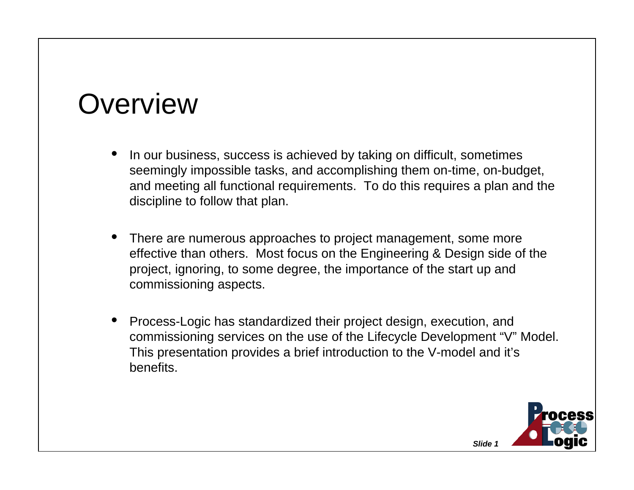#### **Overview**

- • In our business, success is achieved by taking on difficult, sometimes seemingly impossible tasks, and accomplishing them on-time, on-budget, and meeting all functional requirements. To do this requires a plan and the discipline to follow that plan.
- • There are numerous approaches to project management, some more effective than others. Most focus on the Engineering & Design side of the project, ignoring, to some degree, the importance of the start up and commissioning aspects.
- • Process-Logic has standardized their project design, execution, and commissioning services on the use of the Lifecycle Development "V" Model. This presentation provides a brief introduction to the V-model and it's benefits.

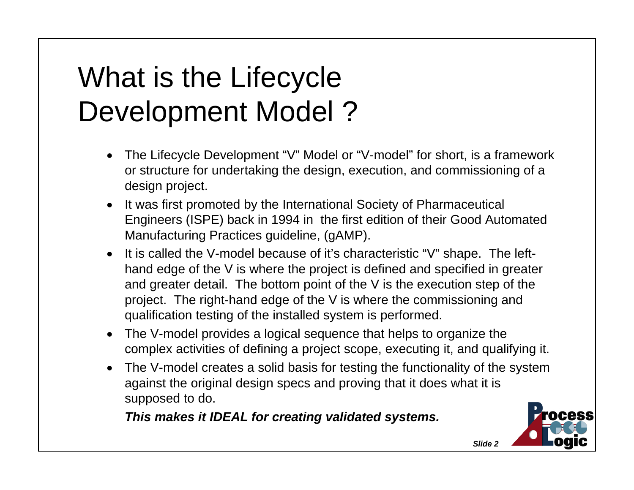# What is the Lifecycle Development Model ?

- • The Lifecycle Development "V" Model or "V-model" for short, is a framework or structure for undertaking the design, execution, and commissioning of a design project.
- It was first promoted by the International Society of Pharmaceutical Engineers (ISPE) back in 1994 in the first edition of their Good Automated Manufacturing Practices guideline, (gAMP).
- • It is called the V-model because of it's characteristic "V" shape. The lefthand edge of the V is where the project is defined and specified in greater and greater detail. The bottom point of the V is the execution step of the project. The right-hand edge of the V is where the commissioning and qualification testing of the installed system is performed.
- The V-model provides a logical sequence that helps to organize the complex activities of defining a project scope, executing it, and qualifying it.
- • The V-model creates a solid basis for testing the functionality of the system against the original design specs and proving that it does what it is supposed to do.

 *This makes it IDEAL for creating validated systems.*

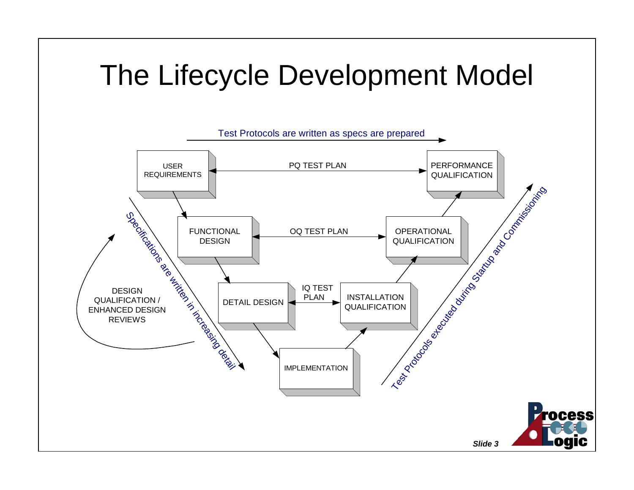## The Lifecycle Development Model

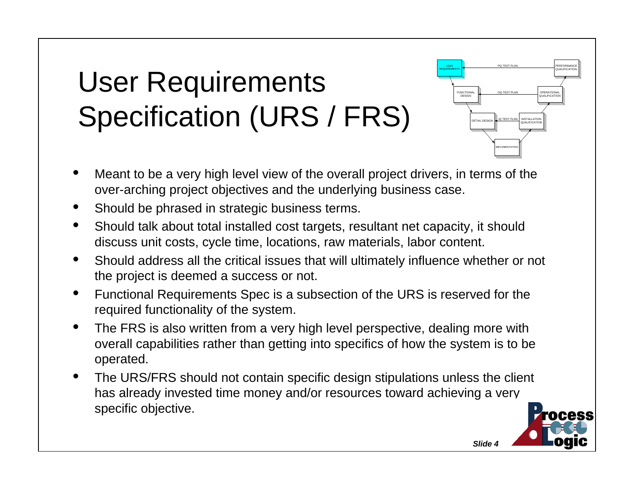# User Requirements Specification (URS / FRS)

- • Meant to be a very high level view of the overall project drivers, in terms of the over-arching project objectives and the underlying business case.
- •Should be phrased in strategic business terms.
- • Should talk about total installed cost targets, resultant net capacity, it should discuss unit costs, cycle time, locations, raw materials, labor content.
- • Should address all the critical issues that will ultimately influence whether or not the project is deemed a success or not.
- $\bullet$  Functional Requirements Spec is a subsection of the URS is reserved for the required functionality of the system.
- $\bullet$  The FRS is also written from a very high level perspective, dealing more with overall capabilities rather than getting into specifics of how the system is to be operated.
- • The URS/FRS should not contain specific design stipulations unless the client has already invested time money and/or resources toward achieving a very specific objective.

*Slide 4*

USERREQUIREMENTS

FUNCTIONAL DESIGN

DETAIL DESIGN

IMPLEMENTATION

IQ TEST PLAN

PO TEST PLA

OQ TEST PLAN

INSTALLATIONQUALIFICATION

OPERATIONAL<br>QUALIFICATION

PERFORMANCEQUALIFICATION

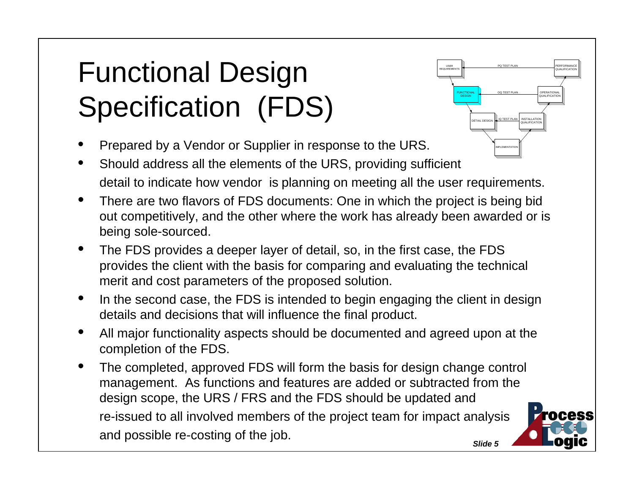# Functional Design Specification (FDS)

- •Prepared by a Vendor or Supplier in response to the URS.
- • Should address all the elements of the URS, providing sufficient detail to indicate how vendor is planning on meeting all the user requirements.
- • There are two flavors of FDS documents: One in which the project is being bid out competitively, and the other where the work has already been awarded or is being sole-sourced.
- • The FDS provides a deeper layer of detail, so, in the first case, the FDS provides the client with the basis for comparing and evaluating the technical merit and cost parameters of the proposed solution.
- $\bullet$  In the second case, the FDS is intended to begin engaging the client in design details and decisions that will influence the final product.
- • All major functionality aspects should be documented and agreed upon at the completion of the FDS.
- • The completed, approved FDS will form the basis for design change control management. As functions and features are added or subtracted from the design scope, the URS / FRS and the FDS should be updated and re-issued to all involved members of the project team for impact analysis and possible re-costing of the job.



USERREQUIREMENTS

> FUNCTIONALDESIGN

> > DETAIL DESIGN

IMPLEMENTATION

IQ TEST PLAN

PO TEST PLA

OQ TEST PLAN

INSTALLATIONQUALIFICATION

OPERATIONAL<br>QUALIFICATION

PERFORMANCEQUALIFICATION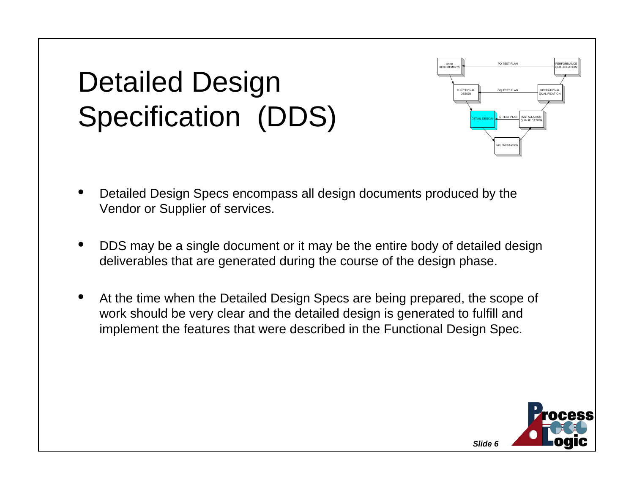# Detailed Design Specification (DDS)



- • Detailed Design Specs encompass all design documents produced by the Vendor or Supplier of services.
- • DDS may be a single document or it may be the entire body of detailed design deliverables that are generated during the course of the design phase.
- • At the time when the Detailed Design Specs are being prepared, the scope of work should be very clear and the detailed design is generated to fulfill and implement the features that were described in the Functional Design Spec.

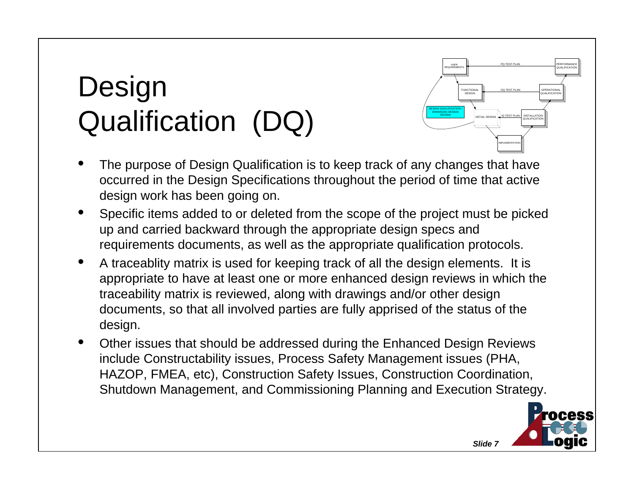# **Design** Qualification (DQ)



- • The purpose of Design Qualification is to keep track of any changes that have occurred in the Design Specifications throughout the period of time that active design work has been going on.
- $\bullet$  Specific items added to or deleted from the scope of the project must be picked up and carried backward through the appropriate design specs and requirements documents, as well as the appropriate qualification protocols.
- • A traceablity matrix is used for keeping track of all the design elements. It is appropriate to have at least one or more enhanced design reviews in which the traceability matrix is reviewed, along with drawings and/or other design documents, so that all involved parties are fully apprised of the status of the design.
- • Other issues that should be addressed during the Enhanced Design Reviews include Constructability issues, Process Safety Management issues (PHA, HAZOP, FMEA, etc), Construction Safety Issues, Construction Coordination, Shutdown Management, and Commissioning Planning and Execution Strategy.

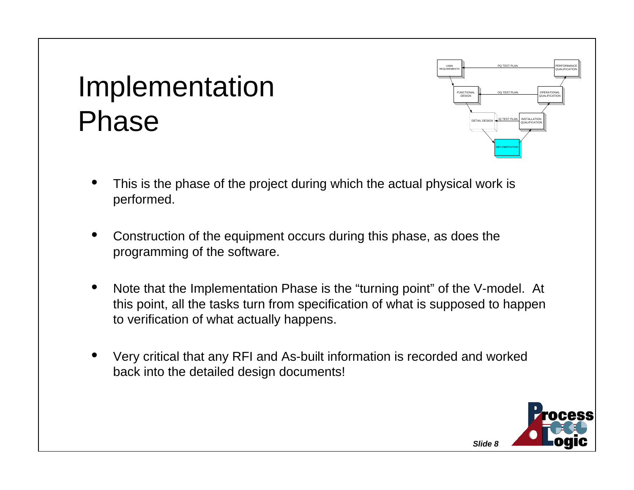#### Implementation Phase



- • This is the phase of the project during which the actual physical work is performed.
- • Construction of the equipment occurs during this phase, as does the programming of the software.
- • Note that the Implementation Phase is the "turning point" of the V-model. At this point, all the tasks turn from specification of what is supposed to happen to verification of what actually happens.
- • Very critical that any RFI and As-built information is recorded and worked back into the detailed design documents!

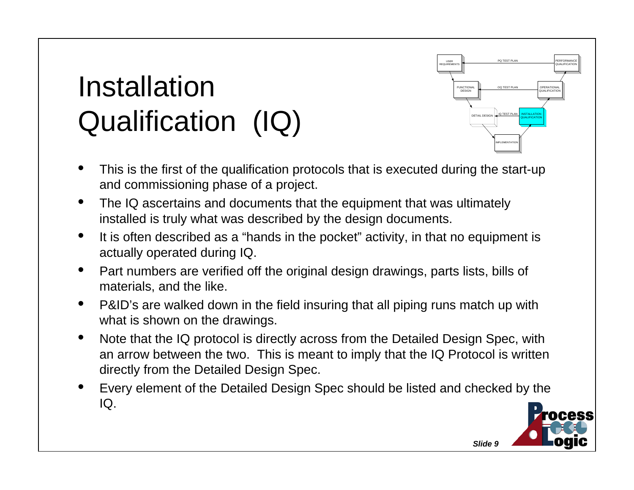# InstallationQualification (IQ)

• This is the first of the qualification protocols that is executed during the start-up and commissioning phase of a project.

USERREQUIREMENTS

> **FUNCTIONA** DESIGN

> > DETAIL DESIGN

*Slide 9*

IMPLEMENTATION

Q TEST PLA

PO TEST PL

O TEST PL

INSTALLATIONQUALIFICATION

OPERATIONAL**DI LIGILIONE** 

PERFORMANCEQUALIFICATION

- $\bullet$  The IQ ascertains and documents that the equipment that was ultimately installed is truly what was described by the design documents.
- $\bullet$  It is often described as a "hands in the pocket" activity, in that no equipment is actually operated during IQ.
- $\bullet$  Part numbers are verified off the original design drawings, parts lists, bills of materials, and the like.
- $\bullet$  P&ID's are walked down in the field insuring that all piping runs match up with what is shown on the drawings.
- $\bullet$  Note that the IQ protocol is directly across from the Detailed Design Spec, with an arrow between the two. This is meant to imply that the IQ Protocol is written directly from the Detailed Design Spec.
- • Every element of the Detailed Design Spec should be listed and checked by the IQ.

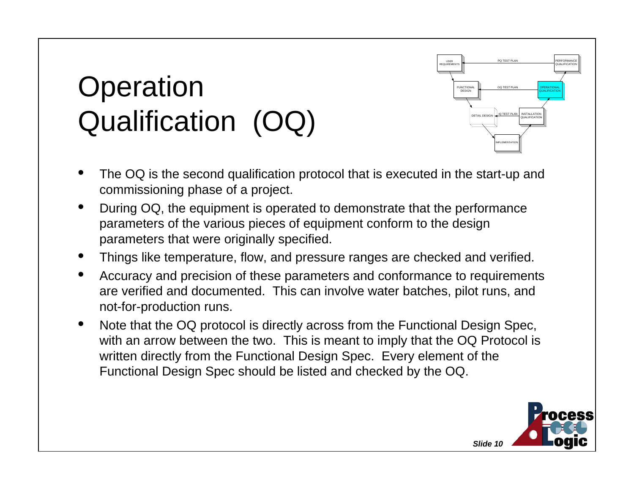# **Operation** Qualification (OQ)



- • The OQ is the second qualification protocol that is executed in the start-up and commissioning phase of a project.
- • During OQ, the equipment is operated to demonstrate that the performance parameters of the various pieces of equipment conform to the design parameters that were originally specified.
- •Things like temperature, flow, and pressure ranges are checked and verified.
- • Accuracy and precision of these parameters and conformance to requirements are verified and documented. This can involve water batches, pilot runs, and not-for-production runs.
- $\bullet$  Note that the OQ protocol is directly across from the Functional Design Spec, with an arrow between the two. This is meant to imply that the OQ Protocol is written directly from the Functional Design Spec. Every element of the Functional Design Spec should be listed and checked by the OQ.

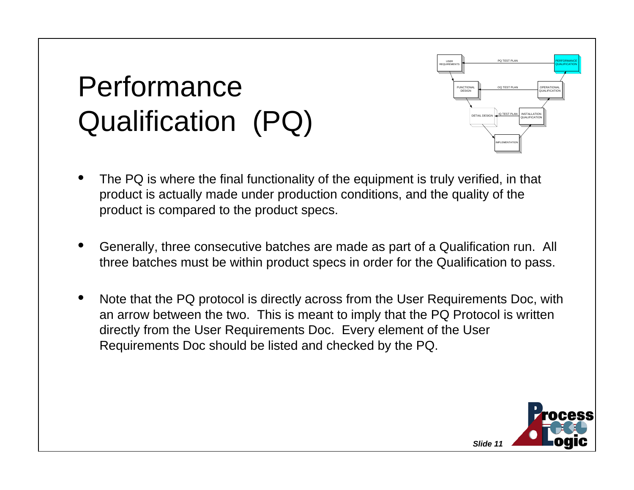# PerformanceQualification (PQ)



- • The PQ is where the final functionality of the equipment is truly verified, in that product is actually made under production conditions, and the quality of the product is compared to the product specs.
- • Generally, three consecutive batches are made as part of a Qualification run. All three batches must be within product specs in order for the Qualification to pass.
- • Note that the PQ protocol is directly across from the User Requirements Doc, with an arrow between the two. This is meant to imply that the PQ Protocol is written directly from the User Requirements Doc. Every element of the User Requirements Doc should be listed and checked by the PQ.

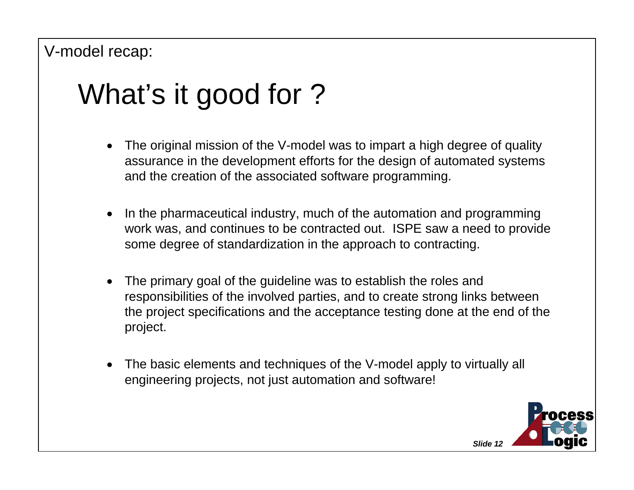# What's it good for ?

- • The original mission of the V-model was to impart a high degree of quality assurance in the development efforts for the design of automated systems and the creation of the associated software programming.
- • In the pharmaceutical industry, much of the automation and programming work was, and continues to be contracted out. ISPE saw a need to provide some degree of standardization in the approach to contracting.
- • The primary goal of the guideline was to establish the roles and responsibilities of the involved parties, and to create strong links between the project specifications and the acceptance testing done at the end of the project.
- • The basic elements and techniques of the V-model apply to virtually all engineering projects, not just automation and software!

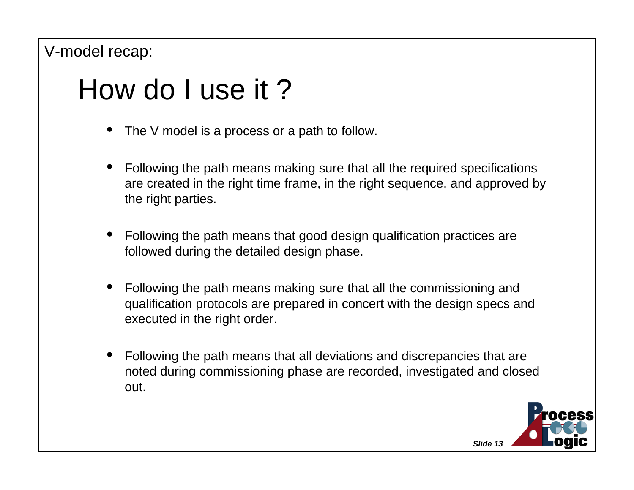### How do I use it ?

- •The V model is a process or a path to follow.
- • Following the path means making sure that all the required specifications are created in the right time frame, in the right sequence, and approved by the right parties.
- • Following the path means that good design qualification practices are followed during the detailed design phase.
- • Following the path means making sure that all the commissioning and qualification protocols are prepared in concert with the design specs and executed in the right order.
- • Following the path means that all deviations and discrepancies that are noted during commissioning phase are recorded, investigated and closed out.

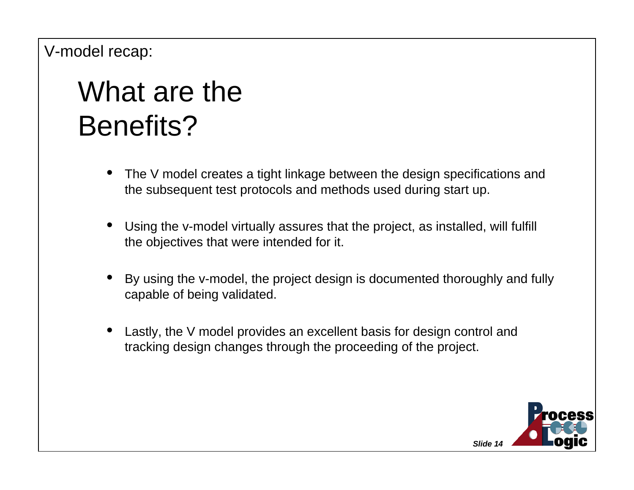## What are theBenefits?

- • The V model creates a tight linkage between the design specifications and the subsequent test protocols and methods used during start up.
- • Using the v-model virtually assures that the project, as installed, will fulfill the objectives that were intended for it.
- • By using the v-model, the project design is documented thoroughly and fully capable of being validated.
- • Lastly, the V model provides an excellent basis for design control and tracking design changes through the proceeding of the project.

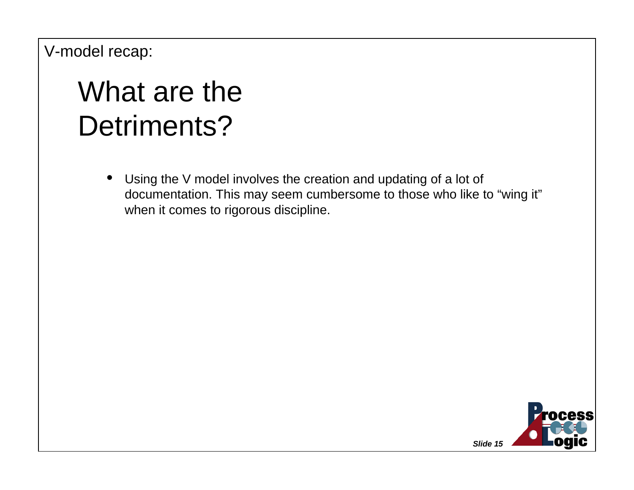## What are theDetriments?

 $\bullet$  Using the V model involves the creation and updating of a lot of documentation. This may seem cumbersome to those who like to "wing it" when it comes to rigorous discipline.

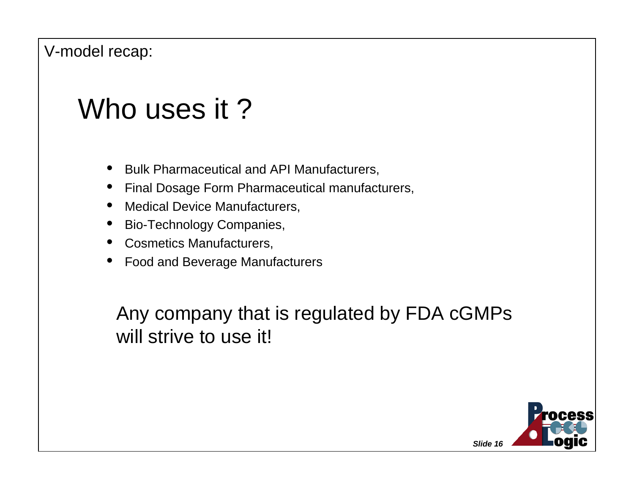### Who uses it?

- •Bulk Pharmaceutical and API Manufacturers,
- •Final Dosage Form Pharmaceutical manufacturers,
- •Medical Device Manufacturers,
- $\bullet$ Bio-Technology Companies,
- •Cosmetics Manufacturers,
- •Food and Beverage Manufacturers

Any company that is regulated by FDA cGMPs will strive to use it!